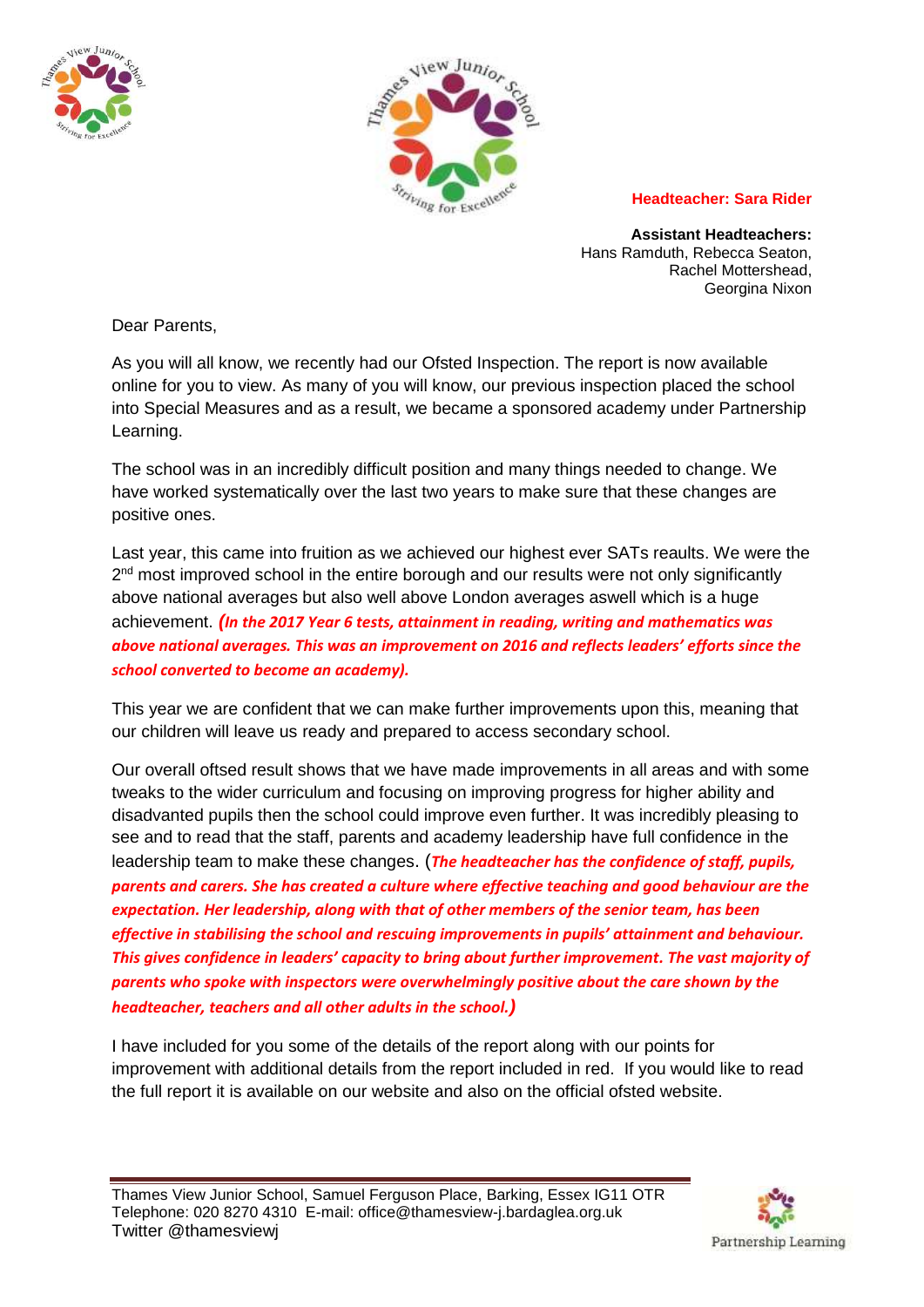



## **Headteacher: Sara Rider**

**Assistant Headteachers:** Hans Ramduth, Rebecca Seaton, Rachel Mottershead, Georgina Nixon

Dear Parents,

As you will all know, we recently had our Ofsted Inspection. The report is now available online for you to view. As many of you will know, our previous inspection placed the school into Special Measures and as a result, we became a sponsored academy under Partnership Learning.

The school was in an incredibly difficult position and many things needed to change. We have worked systematically over the last two years to make sure that these changes are positive ones.

Last year, this came into fruition as we achieved our highest ever SATs reaults. We were the 2<sup>nd</sup> most improved school in the entire borough and our results were not only significantly above national averages but also well above London averages aswell which is a huge achievement. *(In the 2017 Year 6 tests, attainment in reading, writing and mathematics was above national averages. This was an improvement on 2016 and reflects leaders' efforts since the school converted to become an academy).* 

This year we are confident that we can make further improvements upon this, meaning that our children will leave us ready and prepared to access secondary school.

Our overall oftsed result shows that we have made improvements in all areas and with some tweaks to the wider curriculum and focusing on improving progress for higher ability and disadvanted pupils then the school could improve even further. It was incredibly pleasing to see and to read that the staff, parents and academy leadership have full confidence in the leadership team to make these changes. (*The headteacher has the confidence of staff, pupils, parents and carers. She has created a culture where effective teaching and good behaviour are the expectation. Her leadership, along with that of other members of the senior team, has been effective in stabilising the school and rescuing improvements in pupils' attainment and behaviour. This gives confidence in leaders' capacity to bring about further improvement. The vast majority of parents who spoke with inspectors were overwhelmingly positive about the care shown by the headteacher, teachers and all other adults in the school.)*

I have included for you some of the details of the report along with our points for improvement with additional details from the report included in red. If you would like to read the full report it is available on our website and also on the official ofsted website.

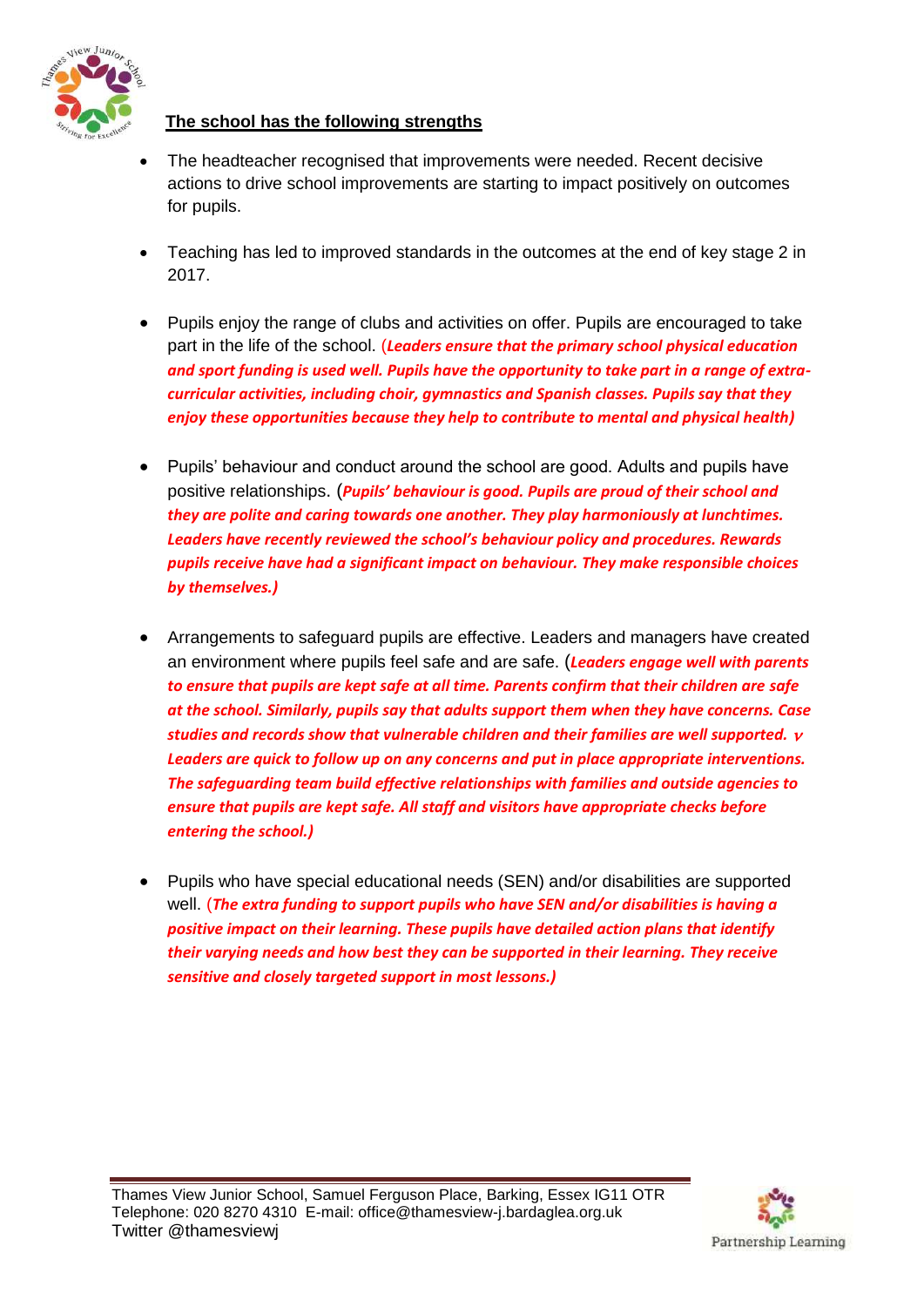

## **The school has the following strengths**

- The headteacher recognised that improvements were needed. Recent decisive actions to drive school improvements are starting to impact positively on outcomes for pupils.
- Teaching has led to improved standards in the outcomes at the end of key stage 2 in 2017.
- Pupils enjoy the range of clubs and activities on offer. Pupils are encouraged to take part in the life of the school. (*Leaders ensure that the primary school physical education and sport funding is used well. Pupils have the opportunity to take part in a range of extracurricular activities, including choir, gymnastics and Spanish classes. Pupils say that they enjoy these opportunities because they help to contribute to mental and physical health)*
- Pupils' behaviour and conduct around the school are good. Adults and pupils have positive relationships. (*Pupils' behaviour is good. Pupils are proud of their school and they are polite and caring towards one another. They play harmoniously at lunchtimes. Leaders have recently reviewed the school's behaviour policy and procedures. Rewards pupils receive have had a significant impact on behaviour. They make responsible choices by themselves.)*
- Arrangements to safeguard pupils are effective. Leaders and managers have created an environment where pupils feel safe and are safe. (*Leaders engage well with parents to ensure that pupils are kept safe at all time. Parents confirm that their children are safe at the school. Similarly, pupils say that adults support them when they have concerns. Case studies and records show that vulnerable children and their families are well supported. Leaders are quick to follow up on any concerns and put in place appropriate interventions. The safeguarding team build effective relationships with families and outside agencies to ensure that pupils are kept safe. All staff and visitors have appropriate checks before entering the school.)*
- Pupils who have special educational needs (SEN) and/or disabilities are supported well. (*The extra funding to support pupils who have SEN and/or disabilities is having a positive impact on their learning. These pupils have detailed action plans that identify their varying needs and how best they can be supported in their learning. They receive sensitive and closely targeted support in most lessons.)*